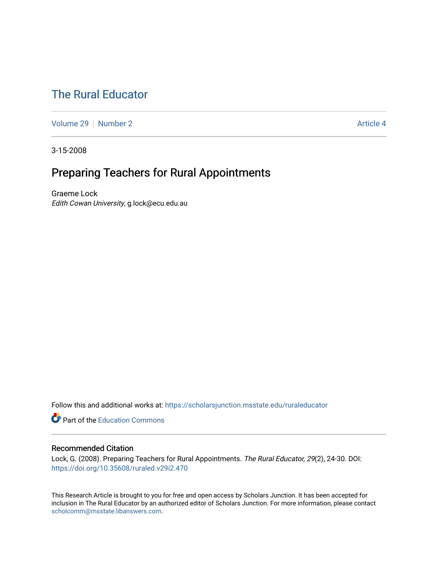# [The Rural Educator](https://scholarsjunction.msstate.edu/ruraleducator)

[Volume 29](https://scholarsjunction.msstate.edu/ruraleducator/vol29) [Number 2](https://scholarsjunction.msstate.edu/ruraleducator/vol29/iss2) Article 4

3-15-2008

# Preparing Teachers for Rural Appointments

Graeme Lock Edith Cowan University, g.lock@ecu.edu.au

Follow this and additional works at: [https://scholarsjunction.msstate.edu/ruraleducator](https://scholarsjunction.msstate.edu/ruraleducator?utm_source=scholarsjunction.msstate.edu%2Fruraleducator%2Fvol29%2Fiss2%2F4&utm_medium=PDF&utm_campaign=PDFCoverPages)

**C** Part of the [Education Commons](http://network.bepress.com/hgg/discipline/784?utm_source=scholarsjunction.msstate.edu%2Fruraleducator%2Fvol29%2Fiss2%2F4&utm_medium=PDF&utm_campaign=PDFCoverPages)

### Recommended Citation

Lock, G. (2008). Preparing Teachers for Rural Appointments. The Rural Educator, 29(2), 24-30. DOI: <https://doi.org/10.35608/ruraled.v29i2.470>

This Research Article is brought to you for free and open access by Scholars Junction. It has been accepted for inclusion in The Rural Educator by an authorized editor of Scholars Junction. For more information, please contact [scholcomm@msstate.libanswers.com.](mailto:scholcomm@msstate.libanswers.com)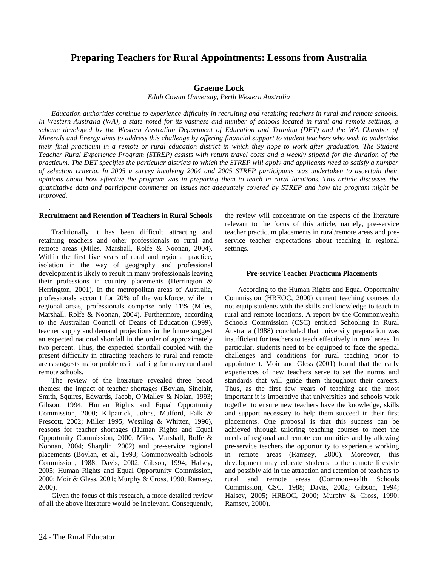## **Preparing Teachers for Rural Appointments: Lessons from Australia**

### **Graeme Lock**

*Edith Cowan University, Perth Western Australia* 

*Education authorities continue to experience difficulty in recruiting and retaining teachers in rural and remote schools. In Western Australia (WA), a state noted for its vastness and number of schools located in rural and remote settings, a scheme developed by the Western Australian Department of Education and Training (DET) and the WA Chamber of Minerals and Energy aims to address this challenge by offering financial support to student teachers who wish to undertake their final practicum in a remote or rural education district in which they hope to work after graduation. The Student Teacher Rural Experience Program (STREP) assists with return travel costs and a weekly stipend for the duration of the practicum. The DET specifies the particular districts to which the STREP will apply and applicants need to satisfy a number of selection criteria. In 2005 a survey involving 2004 and 2005 STREP participants was undertaken to ascertain their opinions about how effective the program was in preparing them to teach in rural locations. This article discusses the quantitative data and participant comments on issues not adequately covered by STREP and how the program might be improved.*

#### **Recruitment and Retention of Teachers in Rural Schools**

*.* 

Traditionally it has been difficult attracting and retaining teachers and other professionals to rural and remote areas (Miles, Marshall, Rolfe & Noonan, 2004). Within the first five years of rural and regional practice, isolation in the way of geography and professional development is likely to result in many professionals leaving their professions in country placements (Herrington & Herrington, 2001). In the metropolitan areas of Australia, professionals account for 20% of the workforce, while in regional areas, professionals comprise only 11% (Miles, Marshall, Rolfe & Noonan, 2004). Furthermore, according to the Australian Council of Deans of Education (1999), teacher supply and demand projections in the future suggest an expected national shortfall in the order of approximately two percent. Thus, the expected shortfall coupled with the present difficulty in attracting teachers to rural and remote areas suggests major problems in staffing for many rural and remote schools.

The review of the literature revealed three broad themes: the impact of teacher shortages (Boylan, Sinclair, Smith, Squires, Edwards, Jacob, O'Malley & Nolan, 1993; Gibson, 1994; Human Rights and Equal Opportunity Commission, 2000; Kilpatrick, Johns, Mulford, Falk & Prescott, 2002; Miller 1995; Westling & Whitten, 1996), reasons for teacher shortages (Human Rights and Equal Opportunity Commission, 2000; Miles, Marshall, Rolfe & Noonan, 2004; Sharplin, 2002) and pre-service regional placements (Boylan, et al., 1993; Commonwealth Schools Commission, 1988; Davis, 2002; Gibson, 1994; Halsey, 2005; Human Rights and Equal Opportunity Commission, 2000; Moir & Gless, 2001; Murphy & Cross, 1990; Ramsey, 2000).

Given the focus of this research, a more detailed review of all the above literature would be irrelevant. Consequently,

the review will concentrate on the aspects of the literature relevant to the focus of this article, namely, pre-service teacher practicum placements in rural/remote areas and preservice teacher expectations about teaching in regional settings.

#### **Pre-service Teacher Practicum Placements**

According to the Human Rights and Equal Opportunity Commission (HREOC, 2000) current teaching courses do not equip students with the skills and knowledge to teach in rural and remote locations. A report by the Commonwealth Schools Commission (CSC) entitled Schooling in Rural Australia (1988) concluded that university preparation was insufficient for teachers to teach effectively in rural areas. In particular, students need to be equipped to face the special challenges and conditions for rural teaching prior to appointment. Moir and Gless (2001) found that the early experiences of new teachers serve to set the norms and standards that will guide them throughout their careers. Thus, as the first few years of teaching are the most important it is imperative that universities and schools work together to ensure new teachers have the knowledge, skills and support necessary to help them succeed in their first placements. One proposal is that this success can be achieved through tailoring teaching courses to meet the needs of regional and remote communities and by allowing pre-service teachers the opportunity to experience working in remote areas (Ramsey, 2000). Moreover, this development may educate students to the remote lifestyle and possibly aid in the attraction and retention of teachers to rural and remote areas (Commonwealth Schools Commission, CSC, 1988; Davis, 2002; Gibson, 1994; Halsey, 2005; HREOC, 2000; Murphy & Cross, 1990; Ramsey, 2000).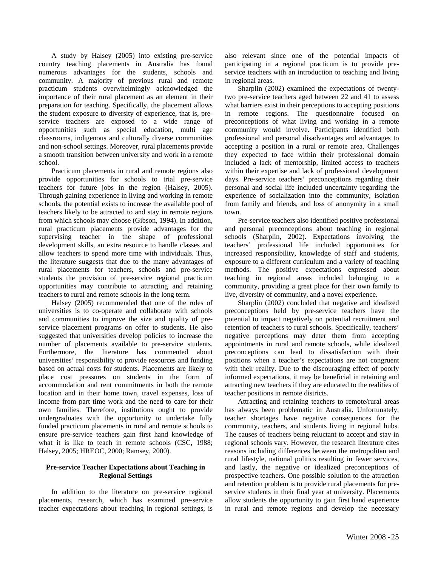A study by Halsey (2005) into existing pre-service country teaching placements in Australia has found numerous advantages for the students, schools and community. A majority of previous rural and remote practicum students overwhelmingly acknowledged the importance of their rural placement as an element in their preparation for teaching. Specifically, the placement allows the student exposure to diversity of experience, that is, preservice teachers are exposed to a wide range of opportunities such as special education, multi age classrooms, indigenous and culturally diverse communities and non-school settings. Moreover, rural placements provide a smooth transition between university and work in a remote school.

Practicum placements in rural and remote regions also provide opportunities for schools to trial pre-service teachers for future jobs in the region (Halsey, 2005). Through gaining experience in living and working in remote schools, the potential exists to increase the available pool of teachers likely to be attracted to and stay in remote regions from which schools may choose (Gibson, 1994). In addition, rural practicum placements provide advantages for the supervising teacher in the shape of professional development skills, an extra resource to handle classes and allow teachers to spend more time with individuals. Thus, the literature suggests that due to the many advantages of rural placements for teachers, schools and pre-service students the provision of pre-service regional practicum opportunities may contribute to attracting and retaining teachers to rural and remote schools in the long term.

Halsey (2005) recommended that one of the roles of universities is to co-operate and collaborate with schools and communities to improve the size and quality of preservice placement programs on offer to students. He also suggested that universities develop policies to increase the number of placements available to pre-service students. Furthermore, the literature has commented about universities' responsibility to provide resources and funding based on actual costs for students. Placements are likely to place cost pressures on students in the form of accommodation and rent commitments in both the remote location and in their home town, travel expenses, loss of income from part time work and the need to care for their own families. Therefore, institutions ought to provide undergraduates with the opportunity to undertake fully funded practicum placements in rural and remote schools to ensure pre-service teachers gain first hand knowledge of what it is like to teach in remote schools (CSC, 1988; Halsey, 2005; HREOC, 2000; Ramsey, 2000).

#### **Pre-service Teacher Expectations about Teaching in Regional Settings**

In addition to the literature on pre-service regional placements, research, which has examined pre-service teacher expectations about teaching in regional settings, is also relevant since one of the potential impacts of participating in a regional practicum is to provide preservice teachers with an introduction to teaching and living in regional areas.

Sharplin (2002) examined the expectations of twentytwo pre-service teachers aged between 22 and 41 to assess what barriers exist in their perceptions to accepting positions in remote regions. The questionnaire focused on preconceptions of what living and working in a remote community would involve. Participants identified both professional and personal disadvantages and advantages to accepting a position in a rural or remote area. Challenges they expected to face within their professional domain included a lack of mentorship, limited access to teachers within their expertise and lack of professional development days. Pre-service teachers' preconceptions regarding their personal and social life included uncertainty regarding the experience of socialization into the community, isolation from family and friends, and loss of anonymity in a small town.

Pre-service teachers also identified positive professional and personal preconceptions about teaching in regional schools (Sharplin, 2002). Expectations involving the teachers' professional life included opportunities for increased responsibility, knowledge of staff and students, exposure to a different curriculum and a variety of teaching methods. The positive expectations expressed about teaching in regional areas included belonging to a community, providing a great place for their own family to live, diversity of community, and a novel experience.

Sharplin (2002) concluded that negative and idealized preconceptions held by pre-service teachers have the potential to impact negatively on potential recruitment and retention of teachers to rural schools. Specifically, teachers' negative perceptions may deter them from accepting appointments in rural and remote schools, while idealized preconceptions can lead to dissatisfaction with their positions when a teacher's expectations are not congruent with their reality. Due to the discouraging effect of poorly informed expectations, it may be beneficial in retaining and attracting new teachers if they are educated to the realities of teacher positions in remote districts.

Attracting and retaining teachers to remote/rural areas has always been problematic in Australia. Unfortunately, teacher shortages have negative consequences for the community, teachers, and students living in regional hubs. The causes of teachers being reluctant to accept and stay in regional schools vary. However, the research literature cites reasons including differences between the metropolitan and rural lifestyle, national politics resulting in fewer services, and lastly, the negative or idealized preconceptions of prospective teachers. One possible solution to the attraction and retention problem is to provide rural placements for preservice students in their final year at university. Placements allow students the opportunity to gain first hand experience in rural and remote regions and develop the necessary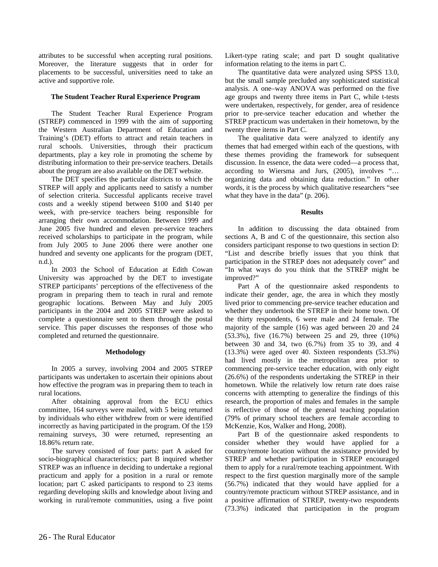attributes to be successful when accepting rural positions. Moreover, the literature suggests that in order for placements to be successful, universities need to take an active and supportive role.

#### **The Student Teacher Rural Experience Program**

The Student Teacher Rural Experience Program (STREP) commenced in 1999 with the aim of supporting the Western Australian Department of Education and Training's (DET) efforts to attract and retain teachers in rural schools. Universities, through their practicum departments, play a key role in promoting the scheme by distributing information to their pre-service teachers. Details about the program are also available on the DET website.

The DET specifies the particular districts to which the STREP will apply and applicants need to satisfy a number of selection criteria. Successful applicants receive travel costs and a weekly stipend between \$100 and \$140 per week, with pre-service teachers being responsible for arranging their own accommodation. Between 1999 and June 2005 five hundred and eleven pre-service teachers received scholarships to participate in the program, while from July 2005 to June 2006 there were another one hundred and seventy one applicants for the program (DET, n.d.).

In 2003 the School of Education at Edith Cowan University was approached by the DET to investigate STREP participants' perceptions of the effectiveness of the program in preparing them to teach in rural and remote geographic locations. Between May and July 2005 participants in the 2004 and 2005 STREP were asked to complete a questionnaire sent to them through the postal service. This paper discusses the responses of those who completed and returned the questionnaire.

#### **Methodology**

In 2005 a survey, involving 2004 and 2005 STREP participants was undertaken to ascertain their opinions about how effective the program was in preparing them to teach in rural locations.

After obtaining approval from the ECU ethics committee, 164 surveys were mailed, with 5 being returned by individuals who either withdrew from or were identified incorrectly as having participated in the program. Of the 159 remaining surveys, 30 were returned, representing an 18.86% return rate.

The survey consisted of four parts: part A asked for socio-biographical characteristics; part B inquired whether STREP was an influence in deciding to undertake a regional practicum and apply for a position in a rural or remote location; part C asked participants to respond to 23 items regarding developing skills and knowledge about living and working in rural/remote communities, using a five point

Likert-type rating scale; and part D sought qualitative information relating to the items in part C.

The quantitative data were analyzed using SPSS 13.0, but the small sample precluded any sophisticated statistical analysis. A one–way ANOVA was performed on the five age groups and twenty three items in Part C, while t-tests were undertaken, respectively, for gender, area of residence prior to pre-service teacher education and whether the STREP practicum was undertaken in their hometown, by the twenty three items in Part C.

The qualitative data were analyzed to identify any themes that had emerged within each of the questions, with these themes providing the framework for subsequent discussion. In essence, the data were coded—a process that, according to Wiersma and Jurs, (2005), involves "… organizing data and obtaining data reduction." In other words, it is the process by which qualitative researchers "see what they have in the data" (p. 206).

**Results** 

In addition to discussing the data obtained from sections A, B and C of the questionnaire, this section also considers participant response to two questions in section D: "List and describe briefly issues that you think that participation in the STREP does not adequately cover" and "In what ways do you think that the STREP might be improved?"

Part A of the questionnaire asked respondents to indicate their gender, age, the area in which they mostly lived prior to commencing pre-service teacher education and whether they undertook the STREP in their home town. Of the thirty respondents, 6 were male and 24 female. The majority of the sample (16) was aged between 20 and 24 (53.3%), five (16.7%) between 25 and 29, three (10%) between 30 and 34, two (6.7%) from 35 to 39, and 4 (13.3%) were aged over 40. Sixteen respondents (53.3%) had lived mostly in the metropolitan area prior to commencing pre-service teacher education, with only eight (26.6%) of the respondents undertaking the STREP in their hometown. While the relatively low return rate does raise concerns with attempting to generalize the findings of this research, the proportion of males and females in the sample is reflective of those of the general teaching population (79% of primary school teachers are female according to McKenzie, Kos, Walker and Hong, 2008).

Part B of the questionnaire asked respondents to consider whether they would have applied for a country/remote location without the assistance provided by STREP and whether participation in STREP encouraged them to apply for a rural/remote teaching appointment. With respect to the first question marginally more of the sample (56.7%) indicated that they would have applied for a country/remote practicum without STREP assistance, and in a positive affirmation of STREP, twenty-two respondents (73.3%) indicated that participation in the program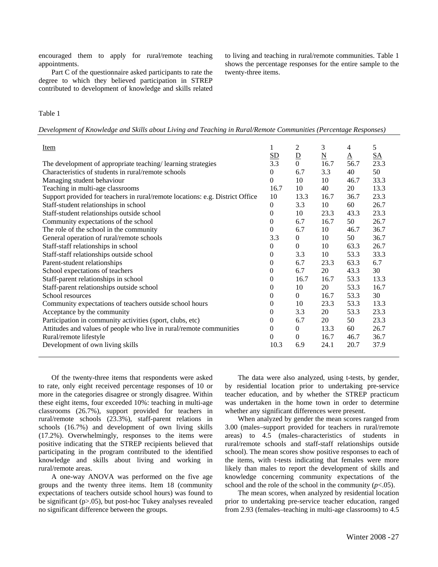encouraged them to apply for rural/remote teaching appointments.

Part C of the questionnaire asked participants to rate the degree to which they believed participation in STREP contributed to development of knowledge and skills related to living and teaching in rural/remote communities. Table 1 shows the percentage responses for the entire sample to the twenty-three items.

#### Table 1

*Development of Knowledge and Skills about Living and Teaching in Rural/Remote Communities (Percentage Responses)* 

| Item                                                                          | 1<br><u>SD</u> | 2<br>$\overline{D}$ | 3<br>$\underline{\mathbf{N}}$ | 4<br>$\underline{A}$ | 5<br>$\underline{SA}$ |
|-------------------------------------------------------------------------------|----------------|---------------------|-------------------------------|----------------------|-----------------------|
| The development of appropriate teaching/learning strategies                   | 3.3            | $\overline{0}$      | 16.7                          | 56.7                 | 23.3                  |
| Characteristics of students in rural/remote schools                           | $\Omega$       | 6.7                 | 3.3                           | 40                   | 50                    |
| Managing student behaviour                                                    | $\Omega$       | 10                  | 10                            | 46.7                 | 33.3                  |
| Teaching in multi-age classrooms                                              | 16.7           | 10                  | 40                            | 20                   | 13.3                  |
| Support provided for teachers in rural/remote locations: e.g. District Office | 10             | 13.3                | 16.7                          | 36.7                 | 23.3                  |
| Staff-student relationships in school                                         | $\mathbf{0}$   | 3.3                 | 10                            | 60                   | 26.7                  |
| Staff-student relationships outside school                                    | 0              | 10                  | 23.3                          | 43.3                 | 23.3                  |
| Community expectations of the school                                          | 0              | 6.7                 | 16.7                          | 50                   | 26.7                  |
| The role of the school in the community                                       | $\Omega$       | 6.7                 | 10                            | 46.7                 | 36.7                  |
| General operation of rural/remote schools                                     | 3.3            | $\overline{0}$      | 10                            | 50                   | 36.7                  |
| Staff-staff relationships in school                                           | $\mathbf{0}$   | $\overline{0}$      | 10                            | 63.3                 | 26.7                  |
| Staff-staff relationships outside school                                      | 0              | 3.3                 | 10                            | 53.3                 | 33.3                  |
| Parent-student relationships                                                  | $\mathbf{0}$   | 6.7                 | 23.3                          | 63.3                 | 6.7                   |
| School expectations of teachers                                               | $\mathbf{0}$   | 6.7                 | 20                            | 43.3                 | 30                    |
| Staff-parent relationships in school                                          | $\mathbf{0}$   | 16.7                | 16.7                          | 53.3                 | 13.3                  |
| Staff-parent relationships outside school                                     | $\theta$       | 10                  | 20                            | 53.3                 | 16.7                  |
| School resources                                                              | $\Omega$       | $\overline{0}$      | 16.7                          | 53.3                 | 30                    |
| Community expectations of teachers outside school hours                       | $\overline{0}$ | 10                  | 23.3                          | 53.3                 | 13.3                  |
| Acceptance by the community                                                   | $\mathbf{0}$   | 3.3                 | 20                            | 53.3                 | 23.3                  |
| Participation in community activities (sport, clubs, etc)                     | $\mathbf{0}$   | 6.7                 | 20                            | 50                   | 23.3                  |
| Attitudes and values of people who live in rural/remote communities           | $\mathbf{0}$   | $\overline{0}$      | 13.3                          | 60                   | 26.7                  |
| Rural/remote lifestyle                                                        | $\Omega$       | $\overline{0}$      | 16.7                          | 46.7                 | 36.7                  |
| Development of own living skills                                              | 10.3           | 6.9                 | 24.1                          | 20.7                 | 37.9                  |

Of the twenty-three items that respondents were asked to rate, only eight received percentage responses of 10 or more in the categories disagree or strongly disagree. Within these eight items, four exceeded 10%: teaching in multi-age classrooms (26.7%), support provided for teachers in rural/remote schools (23.3%), staff-parent relations in schools (16.7%) and development of own living skills (17.2%). Overwhelmingly, responses to the items were positive indicating that the STREP recipients believed that participating in the program contributed to the identified knowledge and skills about living and working in rural/remote areas.

A one-way ANOVA was performed on the five age groups and the twenty three items. Item 18 (community expectations of teachers outside school hours) was found to be significant (p>.05), but post-hoc Tukey analyses revealed no significant difference between the groups.

The data were also analyzed, using t-tests, by gender, by residential location prior to undertaking pre-service teacher education, and by whether the STREP practicum was undertaken in the home town in order to determine whether any significant differences were present.

When analyzed by gender the mean scores ranged from 3.00 (males–support provided for teachers in rural/remote areas) to 4.5 (males–characteristics of students in rural/remote schools and staff-staff relationships outside school). The mean scores show positive responses to each of the items, with t-tests indicating that females were more likely than males to report the development of skills and knowledge concerning community expectations of the school and the role of the school in the community  $(p<.05)$ .

The mean scores, when analyzed by residential location prior to undertaking pre-service teacher education, ranged from 2.93 (females–teaching in multi-age classrooms) to 4.5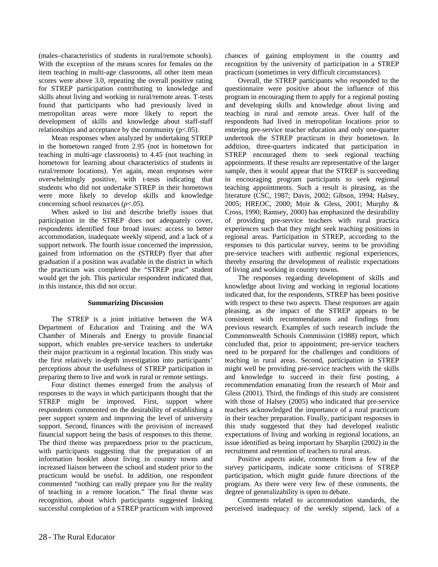(males–characteristics of students in rural/remote schools). With the exception of the means scores for females on the item teaching in multi-age classrooms, all other item mean scores were above 3.0, repeating the overall positive rating for STREP participation contributing to knowledge and skills about living and working in rural/remote areas. T-tests found that participants who had previously lived in metropolitan areas were more likely to report the development of skills and knowledge about staff-staff relationships and acceptance by the community  $(p<.05)$ .

Mean responses when analyzed by undertaking STREP in the hometown ranged from 2.95 (not in hometown for teaching in multi-age classrooms) to 4.45 (not teaching in hometown for learning about characteristics of students in rural/remote locations). Yet again, mean responses were overwhelmingly positive, with t-tests indicating that students who did not undertake STREP in their hometown were more likely to develop skills and knowledge concerning school resources (*p*<.05).

When asked to list and describe briefly issues that participation in the STREP does not adequately cover, respondents identified four broad issues: access to better accommodation, inadequate weekly stipend, and a lack of a support network. The fourth issue concerned the impression, gained from information on the (STREP) flyer that after graduation if a position was available in the district in which the practicum was completed the "STREP prac" student would get the job. This particular respondent indicated that, in this instance, this did not occur.

#### **Summarizing Discussion**

The STREP is a joint initiative between the WA Department of Education and Training and the WA Chamber of Minerals and Energy to provide financial support, which enables pre-service teachers to undertake their major practicum in a regional location. This study was the first relatively in-depth investigation into participants' perceptions about the usefulness of STREP participation in preparing them to live and work in rural or remote settings.

Four distinct themes emerged from the analysis of responses to the ways in which participants thought that the STREP might be improved. First, support where respondents commented on the desirability of establishing a peer support system and improving the level of university support. Second, finances with the provision of increased financial support being the basis of responses to this theme. The third theme was preparedness prior to the practicum, with participants suggesting that the preparation of an information booklet about living in country towns and increased liaison between the school and student prior to the practicum would be useful. In addition, one respondent commented "nothing can really prepare you for the reality of teaching in a remote location." The final theme was recognition, about which participants suggested linking successful completion of a STREP practicum with improved

chances of gaining employment in the country and recognition by the university of participation in a STREP practicum (sometimes in very difficult circumstances).

Overall, the STREP participants who responded to the questionnaire were positive about the influence of this program in encouraging them to apply for a regional posting and developing skills and knowledge about living and teaching in rural and remote areas. Over half of the respondents had lived in metropolitan locations prior to entering pre-service teacher education and only one-quarter undertook the STREP practicum in their hometown. In addition, three-quarters indicated that participation in STREP encouraged them to seek regional teaching appointments. If these results are representative of the larger sample, then it would appear that the STREP is succeeding in encouraging program participants to seek regional teaching appointments. Such a result is pleasing, as the literature (CSC, 1987; Davis, 2002; Gibson, 1994; Halsey, 2005; HREOC, 2000; Moir & Gless, 2001; Murphy & Cross, 1990; Ramsey, 2000) has emphasized the desirability of providing pre-service teachers with rural practica experiences such that they might seek teaching positions in regional areas. Participation in STREP, according to the responses to this particular survey, seems to be providing pre-service teachers with authentic regional experiences, thereby ensuring the development of realistic expectations of living and working in country towns.

The responses regarding development of skills and knowledge about living and working in regional locations indicated that, for the respondents, STREP has been positive with respect to these two aspects. These responses are again pleasing, as the impact of the STREP appears to be consistent with recommendations and findings from previous research. Examples of such research include the Commonwealth Schools Commission (1988) report, which concluded that, prior to appointment; pre-service teachers need to be prepared for the challenges and conditions of teaching in rural areas. Second, participation in STREP might well be providing pre-service teachers with the skills and knowledge to succeed in their first posting, a recommendation emanating from the research of Moir and Gless (2001). Third, the findings of this study are consistent with those of Halsey (2005) who indicated that pre-service teachers acknowledged the importance of a rural practicum in their teacher preparation. Finally, participant responses in this study suggested that they had developed realistic expectations of living and working in regional locations, an issue identified as being important by Sharplin (2002) in the recruitment and retention of teachers to rural areas.

Positive aspects aside, comments from a few of the survey participants, indicate some criticisms of STREP participation, which might guide future directions of the program. As there were very few of these comments, the degree of generalizability is open to debate.

Comments related to accommodation standards, the perceived inadequacy of the weekly stipend, lack of a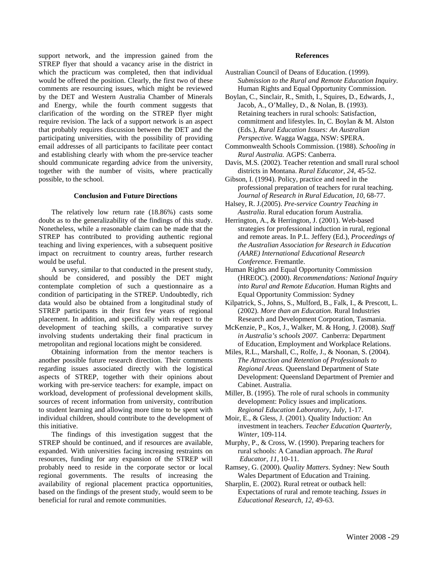support network, and the impression gained from the STREP flyer that should a vacancy arise in the district in which the practicum was completed, then that individual would be offered the position. Clearly, the first two of these comments are resourcing issues, which might be reviewed by the DET and Western Australia Chamber of Minerals and Energy, while the fourth comment suggests that clarification of the wording on the STREP flyer might require revision. The lack of a support network is an aspect that probably requires discussion between the DET and the participating universities, with the possibility of providing email addresses of all participants to facilitate peer contact and establishing clearly with whom the pre-service teacher should communicate regarding advice from the university, together with the number of visits, where practically possible, to the school.

#### **Conclusion and Future Directions**

The relatively low return rate (18.86%) casts some doubt as to the generalizability of the findings of this study. Nonetheless, while a reasonable claim can be made that the STREP has contributed to providing authentic regional teaching and living experiences, with a subsequent positive impact on recruitment to country areas, further research would be useful.

A survey, similar to that conducted in the present study, should be considered, and possibly the DET might contemplate completion of such a questionnaire as a condition of participating in the STREP. Undoubtedly, rich data would also be obtained from a longitudinal study of STREP participants in their first few years of regional placement. In addition, and specifically with respect to the development of teaching skills, a comparative survey involving students undertaking their final practicum in metropolitan and regional locations might be considered.

Obtaining information from the mentor teachers is another possible future research direction. Their comments regarding issues associated directly with the logistical aspects of STREP, together with their opinions about working with pre-service teachers: for example, impact on workload, development of professional development skills, sources of recent information from university, contribution to student learning and allowing more time to be spent with individual children, should contribute to the development of this initiative.

The findings of this investigation suggest that the STREP should be continued, and if resources are available, expanded. With universities facing increasing restraints on resources, funding for any expansion of the STREP will probably need to reside in the corporate sector or local regional governments. The results of increasing the availability of regional placement practica opportunities, based on the findings of the present study, would seem to be beneficial for rural and remote communities.

#### **References**

- Australian Council of Deans of Education. (1999). *Submission to the Rural and Remote Education Inquiry*. Human Rights and Equal Opportunity Commission.
- Boylan, C., Sinclair, R., Smith, I., Squires, D., Edwards, J., Jacob, A., O'Malley, D., & Nolan, B. (1993). Retaining teachers in rural schools: Satisfaction, commitment and lifestyles. In, C. Boylan & M. Alston (Eds.), *Rural Education Issues: An Australian Perspective.* Wagga Wagga, NSW: SPERA.
- Commonwealth Schools Commission. (1988). *Schooling in Rural Australia.* AGPS: Canberra.
- Davis, M.S. (2002). Teacher retention and small rural school districts in Montana. *Rural Educator, 24*, 45-52.
- Gibson, I. (1994). Policy, practice and need in the professional preparation of teachers for rural teaching. *Journal of Research in Rural Education, 10*, 68-77.
- Halsey, R. J.(2005). *Pre-service Country Teaching in Australia*. Rural education forum Australia.
- Herrington, A., & Herrington, J. (2001). Web-based strategies for professional induction in rural, regional and remote areas. In P.L. Jeffery (Ed.), *Proceedings of the Australian Association for Research in Education (AARE) International Educational Research Conference.* Fremantle.
- Human Rights and Equal Opportunity Commission (HREOC). (2000). *Recommendations: National Inquiry into Rural and Remote Education*. Human Rights and Equal Opportunity Commission: Sydney
- Kilpatrick, S., Johns, S., Mulford, B., Falk, I., & Prescott, L. (2002). *More than an Education.* Rural Industries Research and Development Corporation, Tasmania.
- McKenzie, P., Kos, J., Walker, M. & Hong, J. (2008). *Staff in Australia's schools 2007.* Canberra: Department of Education, Employment and Workplace Relations.
- Miles, R.L., Marshall, C., Rolfe, J., & Noonan, S. (2004). *The Attraction and Retention of Professionals to Regional Areas.* Queensland Department of State Development: Queensland Department of Premier and Cabinet. Australia.
- Miller, B. (1995). The role of rural schools in community development: Policy issues and implications. *Regional Education Laboratory, July,* 1-17.
- Moir, E., & Gless, J. (2001). Quality Induction: An investment in teachers. *Teacher Education Quarterly, Winter,* 109-114.
- Murphy, P., & Cross, W. (1990). Preparing teachers for rural schools: A Canadian approach. *The Rural Educator, 11*, 10-11.
- Ramsey, G. (2000). *Quality Matters*. Sydney: New South Wales Department of Education and Training.
- Sharplin, E. (2002). Rural retreat or outback hell: Expectations of rural and remote teaching. *Issues in Educational Research, 12*, 49-63.